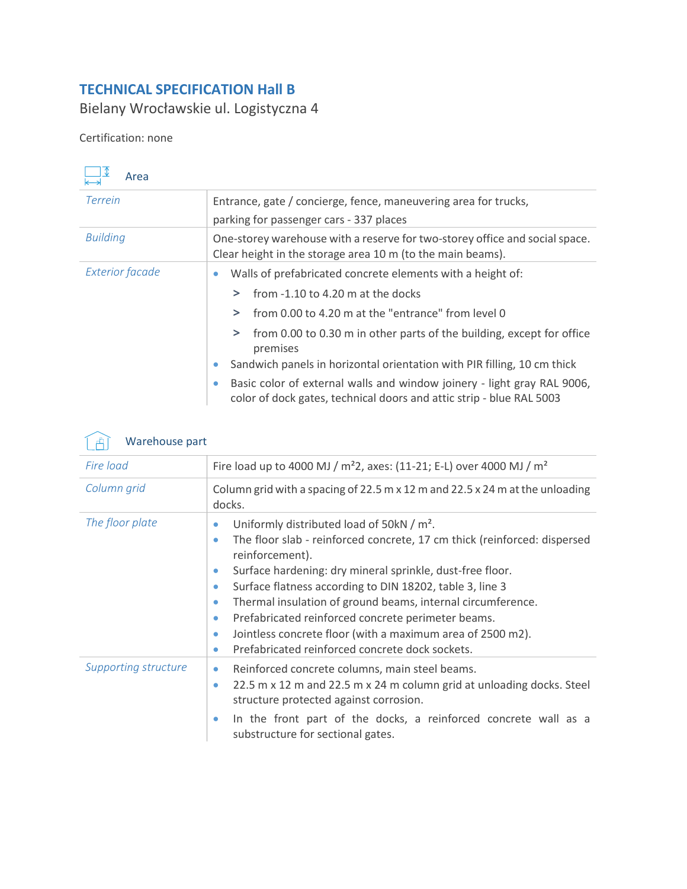## **TECHNICAL SPECIFICATION Hall B**

Bielany Wrocławskie ul. Logistyczna 4

## Certification: none

| Area                   |                                                                                                                                                              |
|------------------------|--------------------------------------------------------------------------------------------------------------------------------------------------------------|
| <b>Terrein</b>         | Entrance, gate / concierge, fence, maneuvering area for trucks,                                                                                              |
|                        | parking for passenger cars - 337 places                                                                                                                      |
| <b>Building</b>        | One-storey warehouse with a reserve for two-storey office and social space.<br>Clear height in the storage area 10 m (to the main beams).                    |
| <b>Exterior facade</b> | Walls of prefabricated concrete elements with a height of:                                                                                                   |
|                        | from -1.10 to 4.20 m at the docks<br>⋗                                                                                                                       |
|                        | from 0.00 to 4.20 m at the "entrance" from level 0<br>$\geq$                                                                                                 |
|                        | from 0.00 to 0.30 m in other parts of the building, except for office<br>⋗<br>premises                                                                       |
|                        | Sandwich panels in horizontal orientation with PIR filling, 10 cm thick<br>$\bullet$                                                                         |
|                        | Basic color of external walls and window joinery - light gray RAL 9006,<br>$\bullet$<br>color of dock gates, technical doors and attic strip - blue RAL 5003 |



| ىست                         |                                                                                                                                                                                                                                                                                                                                                                                                                                                                                                                                                                                                             |  |  |
|-----------------------------|-------------------------------------------------------------------------------------------------------------------------------------------------------------------------------------------------------------------------------------------------------------------------------------------------------------------------------------------------------------------------------------------------------------------------------------------------------------------------------------------------------------------------------------------------------------------------------------------------------------|--|--|
| Fire load                   | Fire load up to 4000 MJ / m <sup>2</sup> 2, axes: (11-21; E-L) over 4000 MJ / m <sup>2</sup>                                                                                                                                                                                                                                                                                                                                                                                                                                                                                                                |  |  |
| Column grid                 | Column grid with a spacing of 22.5 m $\times$ 12 m and 22.5 $\times$ 24 m at the unloading<br>docks.                                                                                                                                                                                                                                                                                                                                                                                                                                                                                                        |  |  |
| The floor plate             | Uniformly distributed load of 50kN / m <sup>2</sup> .<br>۰<br>The floor slab - reinforced concrete, 17 cm thick (reinforced: dispersed<br>۰<br>reinforcement).<br>Surface hardening: dry mineral sprinkle, dust-free floor.<br>$\bullet$<br>Surface flatness according to DIN 18202, table 3, line 3<br>$\bullet$<br>Thermal insulation of ground beams, internal circumference.<br>$\bullet$<br>Prefabricated reinforced concrete perimeter beams.<br>$\bullet$<br>Jointless concrete floor (with a maximum area of 2500 m2).<br>$\bullet$<br>Prefabricated reinforced concrete dock sockets.<br>$\bullet$ |  |  |
| <b>Supporting structure</b> | Reinforced concrete columns, main steel beams.<br>$\bullet$<br>22.5 m x 12 m and 22.5 m x 24 m column grid at unloading docks. Steel<br>$\bullet$<br>structure protected against corrosion.<br>In the front part of the docks, a reinforced concrete wall as a<br>$\bullet$<br>substructure for sectional gates.                                                                                                                                                                                                                                                                                            |  |  |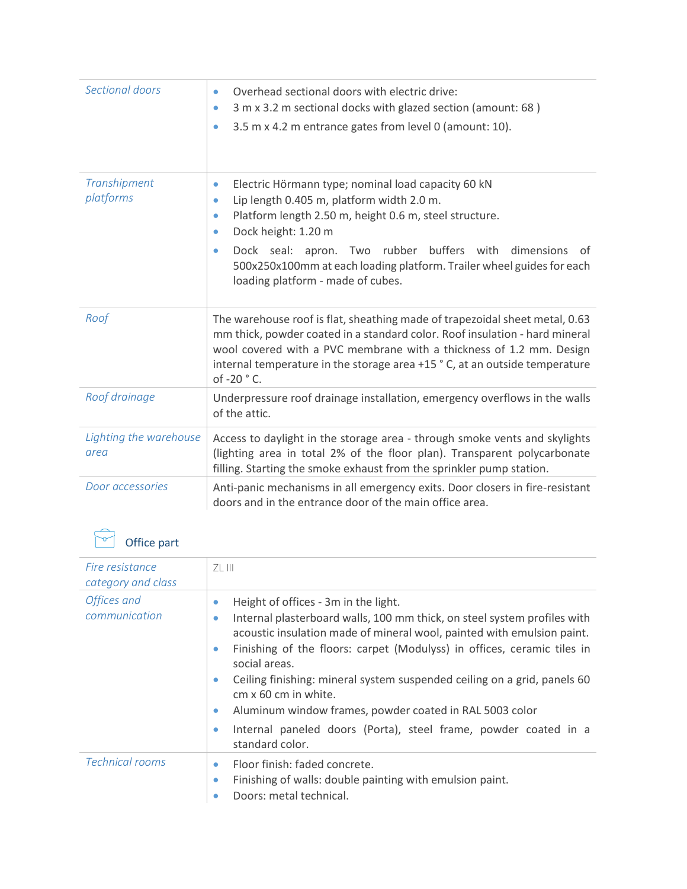| Sectional doors                | Overhead sectional doors with electric drive:<br>$\bullet$<br>3 m x 3.2 m sectional docks with glazed section (amount: 68)<br>$\bullet$<br>3.5 m x 4.2 m entrance gates from level 0 (amount: 10).<br>$\bullet$                                                                                                                                                                                                       |
|--------------------------------|-----------------------------------------------------------------------------------------------------------------------------------------------------------------------------------------------------------------------------------------------------------------------------------------------------------------------------------------------------------------------------------------------------------------------|
| Transhipment<br>platforms      | Electric Hörmann type; nominal load capacity 60 kN<br>$\bullet$<br>Lip length 0.405 m, platform width 2.0 m.<br>$\bullet$<br>Platform length 2.50 m, height 0.6 m, steel structure.<br>۰<br>Dock height: 1.20 m<br>$\bullet$<br>Dock seal: apron. Two rubber buffers with dimensions<br>0f<br>$\bullet$<br>500x250x100mm at each loading platform. Trailer wheel guides for each<br>loading platform - made of cubes. |
| Roof                           | The warehouse roof is flat, sheathing made of trapezoidal sheet metal, 0.63<br>mm thick, powder coated in a standard color. Roof insulation - hard mineral<br>wool covered with a PVC membrane with a thickness of 1.2 mm. Design<br>internal temperature in the storage area +15 °C, at an outside temperature<br>of -20 ° C.                                                                                        |
| Roof drainage                  | Underpressure roof drainage installation, emergency overflows in the walls<br>of the attic.                                                                                                                                                                                                                                                                                                                           |
| Lighting the warehouse<br>area | Access to daylight in the storage area - through smoke vents and skylights<br>(lighting area in total 2% of the floor plan). Transparent polycarbonate<br>filling. Starting the smoke exhaust from the sprinkler pump station.                                                                                                                                                                                        |
| Door accessories               | Anti-panic mechanisms in all emergency exits. Door closers in fire-resistant<br>doors and in the entrance door of the main office area.                                                                                                                                                                                                                                                                               |

| Office par |  |
|------------|--|
|            |  |

| Office part                           |                                                                                                                                                                                                                                                                                                                                                                                                                                                                                                                                                                                          |
|---------------------------------------|------------------------------------------------------------------------------------------------------------------------------------------------------------------------------------------------------------------------------------------------------------------------------------------------------------------------------------------------------------------------------------------------------------------------------------------------------------------------------------------------------------------------------------------------------------------------------------------|
| Fire resistance<br>category and class | ZL III                                                                                                                                                                                                                                                                                                                                                                                                                                                                                                                                                                                   |
| Offices and<br>communication          | Height of offices - 3m in the light.<br>$\bullet$<br>Internal plasterboard walls, 100 mm thick, on steel system profiles with<br>۰<br>acoustic insulation made of mineral wool, painted with emulsion paint.<br>Finishing of the floors: carpet (Modulyss) in offices, ceramic tiles in<br>۰<br>social areas.<br>Ceiling finishing: mineral system suspended ceiling on a grid, panels 60<br>۰<br>$cm \times 60$ cm in white.<br>Aluminum window frames, powder coated in RAL 5003 color<br>۰<br>Internal paneled doors (Porta), steel frame, powder coated in a<br>۰<br>standard color. |
| <b>Technical rooms</b>                | Floor finish: faded concrete.<br>۰<br>Finishing of walls: double painting with emulsion paint.<br>۰<br>Doors: metal technical.<br>۰                                                                                                                                                                                                                                                                                                                                                                                                                                                      |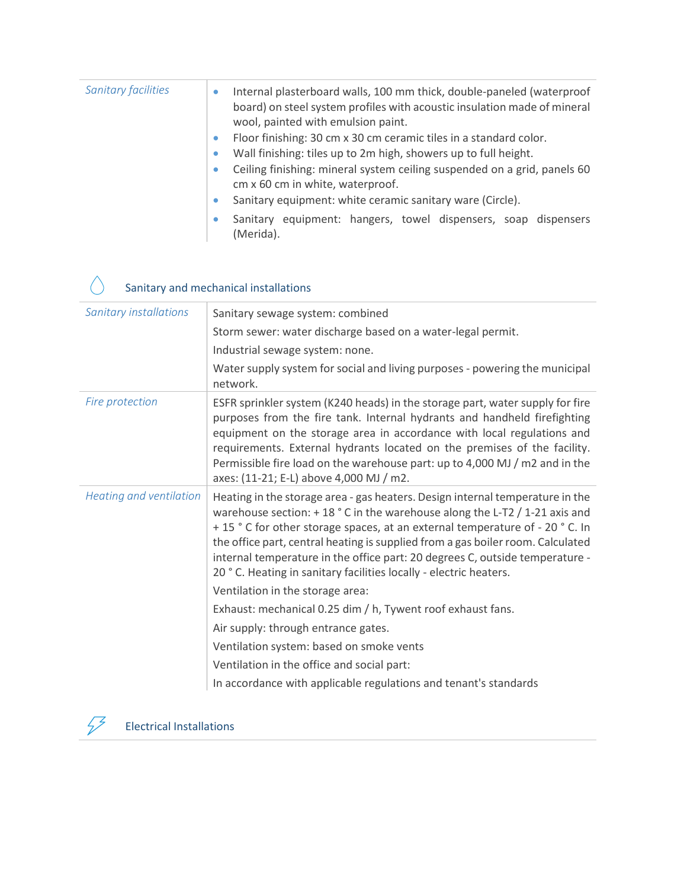| <b>Sanitary facilities</b> |           | Internal plasterboard walls, 100 mm thick, double-paneled (waterproof<br>board) on steel system profiles with acoustic insulation made of mineral<br>wool, painted with emulsion paint. |
|----------------------------|-----------|-----------------------------------------------------------------------------------------------------------------------------------------------------------------------------------------|
|                            | $\bullet$ | Floor finishing: 30 cm x 30 cm ceramic tiles in a standard color.                                                                                                                       |
|                            | ۰         | Wall finishing: tiles up to 2m high, showers up to full height.                                                                                                                         |
|                            | $\bullet$ | Ceiling finishing: mineral system ceiling suspended on a grid, panels 60<br>cm x 60 cm in white, waterproof.                                                                            |
|                            | $\bullet$ | Sanitary equipment: white ceramic sanitary ware (Circle).                                                                                                                               |
|                            |           | Sanitary equipment: hangers, towel dispensers, soap dispensers<br>(Merida).                                                                                                             |

## Sanitary and mechanical installations

| <b>Sanitary installations</b> | Sanitary sewage system: combined                                                                                                                                                                                                                                                                                                                                                                                                                                                    |
|-------------------------------|-------------------------------------------------------------------------------------------------------------------------------------------------------------------------------------------------------------------------------------------------------------------------------------------------------------------------------------------------------------------------------------------------------------------------------------------------------------------------------------|
|                               | Storm sewer: water discharge based on a water-legal permit.                                                                                                                                                                                                                                                                                                                                                                                                                         |
|                               | Industrial sewage system: none.                                                                                                                                                                                                                                                                                                                                                                                                                                                     |
|                               | Water supply system for social and living purposes - powering the municipal<br>network.                                                                                                                                                                                                                                                                                                                                                                                             |
| Fire protection               | ESFR sprinkler system (K240 heads) in the storage part, water supply for fire<br>purposes from the fire tank. Internal hydrants and handheld firefighting<br>equipment on the storage area in accordance with local regulations and<br>requirements. External hydrants located on the premises of the facility.<br>Permissible fire load on the warehouse part: up to 4,000 MJ / m2 and in the<br>axes: (11-21; E-L) above 4,000 MJ / m2.                                           |
| Heating and ventilation       | Heating in the storage area - gas heaters. Design internal temperature in the<br>warehouse section: $+18$ ° C in the warehouse along the L-T2 / 1-21 axis and<br>+15 °C for other storage spaces, at an external temperature of -20 °C. In<br>the office part, central heating is supplied from a gas boiler room. Calculated<br>internal temperature in the office part: 20 degrees C, outside temperature -<br>20 ° C. Heating in sanitary facilities locally - electric heaters. |
|                               | Ventilation in the storage area:                                                                                                                                                                                                                                                                                                                                                                                                                                                    |
|                               | Exhaust: mechanical 0.25 dim / h, Tywent roof exhaust fans.                                                                                                                                                                                                                                                                                                                                                                                                                         |
|                               | Air supply: through entrance gates.                                                                                                                                                                                                                                                                                                                                                                                                                                                 |
|                               | Ventilation system: based on smoke vents                                                                                                                                                                                                                                                                                                                                                                                                                                            |
|                               | Ventilation in the office and social part:                                                                                                                                                                                                                                                                                                                                                                                                                                          |
|                               | In accordance with applicable regulations and tenant's standards                                                                                                                                                                                                                                                                                                                                                                                                                    |



 $\bigwedge$